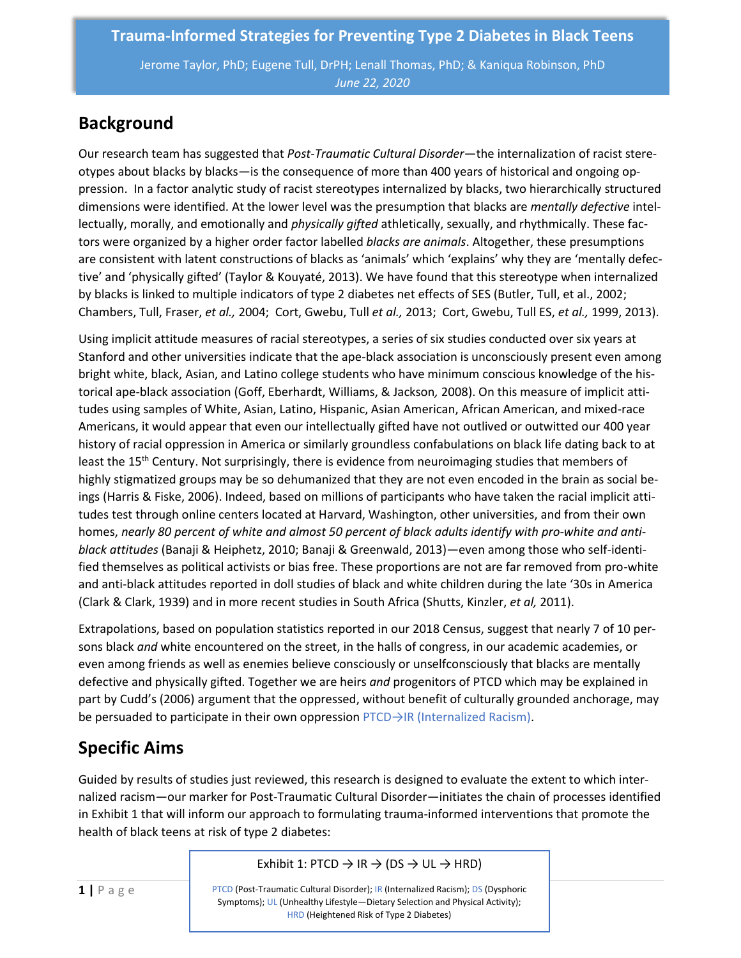Jerome Taylor, PhD; Eugene Tull, DrPH; Lenall Thomas, PhD; & Kaniqua Robinson, PhD *June 22, 2020*

## **Background**

Our research team has suggested that *Post-Traumatic Cultural Disorder*—the internalization of racist stereotypes about blacks by blacks—is the consequence of more than 400 years of historical and ongoing oppression. In a factor analytic study of racist stereotypes internalized by blacks, two hierarchically structured dimensions were identified. At the lower level was the presumption that blacks are *mentally defective* intellectually, morally, and emotionally and *physically gifted* athletically, sexually, and rhythmically. These factors were organized by a higher order factor labelled *blacks are animals*. Altogether, these presumptions are consistent with latent constructions of blacks as 'animals' which 'explains' why they are 'mentally defective' and 'physically gifted' (Taylor & Kouyaté, 2013). We have found that this stereotype when internalized by blacks is linked to multiple indicators of type 2 diabetes net effects of SES (Butler, Tull, et al., 2002; Chambers, Tull, Fraser, *et al.,* 2004; Cort, Gwebu, Tull *et al.,* 2013; Cort, Gwebu, Tull ES, *et al.,* 1999, 2013).

Using implicit attitude measures of racial stereotypes, a series of six studies conducted over six years at Stanford and other universities indicate that the ape-black association is unconsciously present even among bright white, black, Asian, and Latino college students who have minimum conscious knowledge of the historical ape-black association (Goff, Eberhardt, Williams, & Jackson*,* 2008). On this measure of implicit attitudes using samples of White, Asian, Latino, Hispanic, Asian American, African American, and mixed-race Americans, it would appear that even our intellectually gifted have not outlived or outwitted our 400 year history of racial oppression in America or similarly groundless confabulations on black life dating back to at least the 15<sup>th</sup> Century. Not surprisingly, there is evidence from neuroimaging studies that members of highly stigmatized groups may be so dehumanized that they are not even encoded in the brain as social beings (Harris & Fiske, 2006). Indeed, based on millions of participants who have taken the racial implicit attitudes test through online centers located at Harvard, Washington, other universities, and from their own homes, *nearly 80 percent of white and almost 50 percent of black adults identify with pro-white and antiblack attitudes* (Banaji & Heiphetz, 2010; Banaji & Greenwald, 2013)—even among those who self-identified themselves as political activists or bias free. These proportions are not are far removed from pro-white and anti-black attitudes reported in doll studies of black and white children during the late '30s in America (Clark & Clark, 1939) and in more recent studies in South Africa (Shutts, Kinzler, *et al,* 2011).

Extrapolations, based on population statistics reported in our 2018 Census, suggest that nearly 7 of 10 persons black *and* white encountered on the street, in the halls of congress, in our academic academies, or even among friends as well as enemies believe consciously or unselfconsciously that blacks are mentally defective and physically gifted. Together we are heirs *and* progenitors of PTCD which may be explained in part by Cudd's (2006) argument that the oppressed, without benefit of culturally grounded anchorage, may be persuaded to participate in their own oppression PTCD→IR (Internalized Racism).

# **Specific Aims**

Guided by results of studies just reviewed, this research is designed to evaluate the extent to which internalized racism—our marker for Post-Traumatic Cultural Disorder—initiates the chain of processes identified in Exhibit 1 that will inform our approach to formulating trauma-informed interventions that promote the health of black teens at risk of type 2 diabetes:

Exhibit 1: PTCD  $\rightarrow$  IR  $\rightarrow$  (DS  $\rightarrow$  UL  $\rightarrow$  HRD)

PTCD (Post-Traumatic Cultural Disorder); IR (Internalized Racism); DS (Dysphoric Symptoms); UL (Unhealthy Lifestyle—Dietary Selection and Physical Activity); HRD (Heightened Risk of Type 2 Diabetes)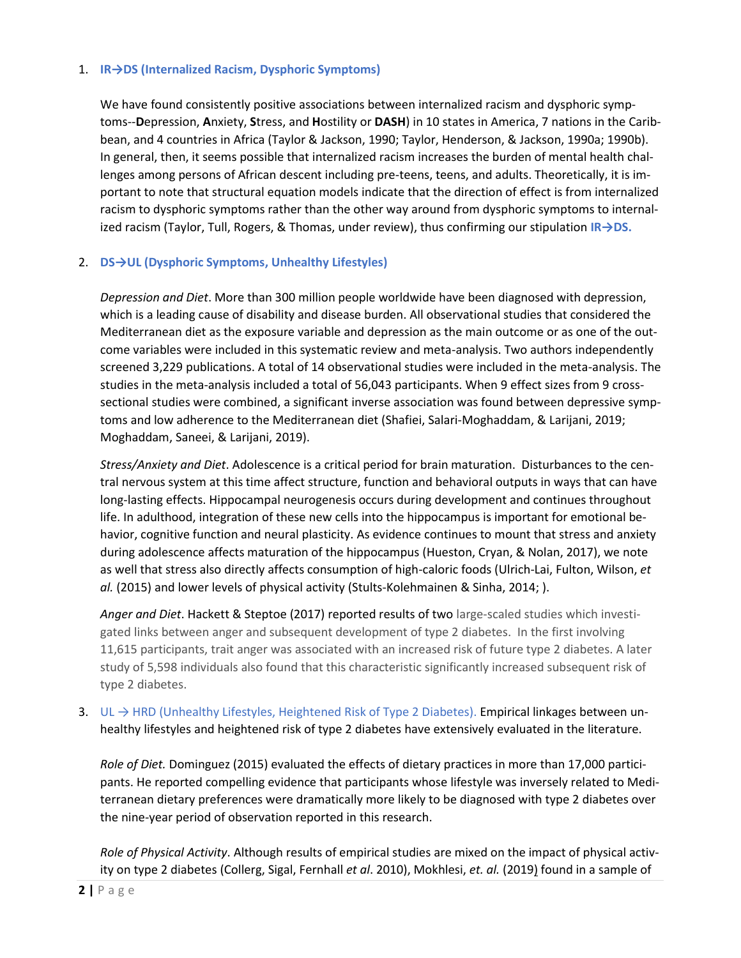#### 1. **IR→DS (Internalized Racism, Dysphoric Symptoms)**

We have found consistently positive associations between internalized racism and dysphoric symptoms--**D**epression, **A**nxiety, **S**tress, and **H**ostility or **DASH**) in 10 states in America, 7 nations in the Caribbean, and 4 countries in Africa (Taylor & Jackson, 1990; Taylor, Henderson, & Jackson, 1990a; 1990b). In general, then, it seems possible that internalized racism increases the burden of mental health challenges among persons of African descent including pre-teens, teens, and adults. Theoretically, it is important to note that structural equation models indicate that the direction of effect is from internalized racism to dysphoric symptoms rather than the other way around from dysphoric symptoms to internalized racism (Taylor, Tull, Rogers, & Thomas, under review), thus confirming our stipulation **IR→DS.**

#### 2. **DS→UL (Dysphoric Symptoms, Unhealthy Lifestyles)**

*Depression and Diet*. More than 300 million people worldwide have been diagnosed with depression, which is a leading cause of disability and disease burden. All observational studies that considered the Mediterranean diet as the exposure variable and depression as the main outcome or as one of the outcome variables were included in this systematic review and meta-analysis. Two authors independently screened 3,229 publications. A total of 14 observational studies were included in the meta-analysis. The studies in the meta-analysis included a total of 56,043 participants. When 9 effect sizes from 9 crosssectional studies were combined, a significant inverse association was found between depressive symptoms and low adherence to the Mediterranean diet (Shafiei, Salari-Moghaddam, & Larijani, 2019; Moghaddam, Saneei, & Larijani, 2019).

*Stress/Anxiety and Diet*. Adolescence is a critical period for brain maturation. Disturbances to the central nervous system at this time affect structure, function and behavioral outputs in ways that can have long-lasting effects. Hippocampal neurogenesis occurs during development and continues throughout life. In adulthood, integration of these new cells into the hippocampus is important for emotional behavior, cognitive function and neural plasticity. As evidence continues to mount that stress and anxiety during adolescence affects maturation of the hippocampus (Hueston, Cryan, & Nolan, 2017), we note as well that stress also directly affects consumption of high-caloric foods (Ulrich-Lai, Fulton, Wilson, *et al.* (2015) and lower levels of physical activity (Stults-Kolehmainen & Sinha, 2014; ).

*Anger and Diet*. Hackett & Steptoe (2017) reported results of two large-scaled studies which investigated links between anger and subsequent development of type 2 diabetes. In the first involving 11,615 participants, trait anger was associated with an increased risk of future type 2 diabetes. A later study of 5,598 individuals also found that this characteristic significantly increased subsequent risk of type 2 diabetes.

3. UL → HRD (Unhealthy Lifestyles, Heightened Risk of Type 2 Diabetes). Empirical linkages between unhealthy lifestyles and heightened risk of type 2 diabetes have extensively evaluated in the literature.

*Role of Diet.* Dominguez (2015) evaluated the effects of dietary practices in more than 17,000 participants. He reported compelling evidence that participants whose lifestyle was inversely related to Mediterranean dietary preferences were dramatically more likely to be diagnosed with type 2 diabetes over the nine-year period of observation reported in this research.

*Role of Physical Activity*. Although results of empirical studies are mixed on the impact of physical activity on type 2 diabetes (Collerg, Sigal, Fernhall *et al*. 2010), Mokhlesi, *et. al.* (2019) found in a sample of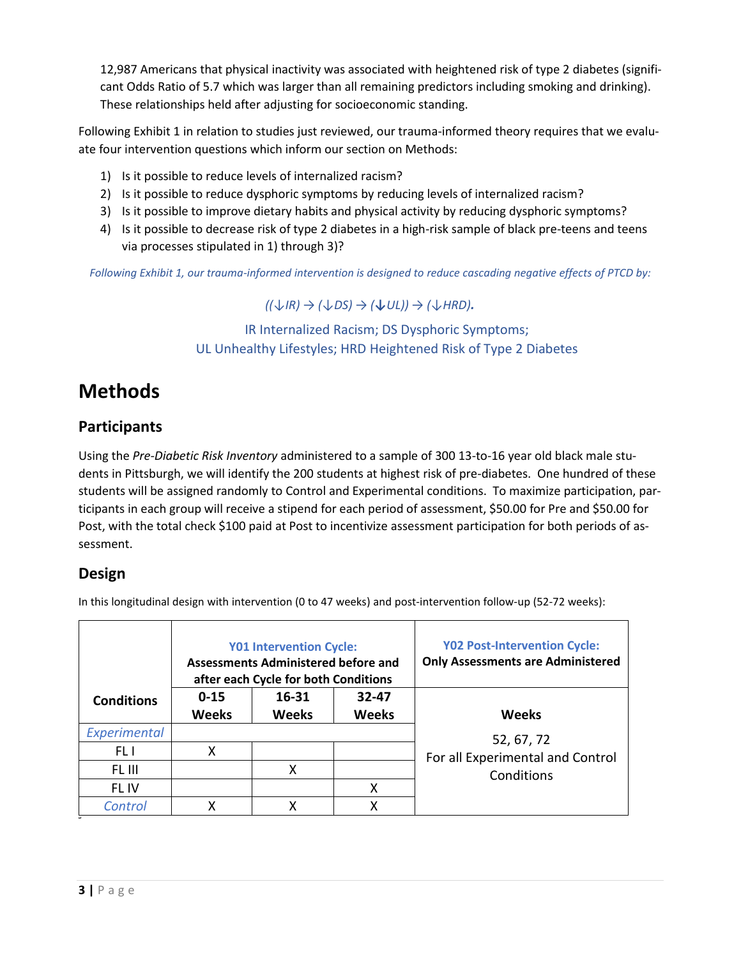12,987 Americans that physical inactivity was associated with heightened risk of type 2 diabetes (significant Odds Ratio of 5.7 which was larger than all remaining predictors including smoking and drinking). These relationships held after adjusting for socioeconomic standing.

Following Exhibit 1 in relation to studies just reviewed, our trauma-informed theory requires that we evaluate four intervention questions which inform our section on Methods:

- 1) Is it possible to reduce levels of internalized racism?
- 2) Is it possible to reduce dysphoric symptoms by reducing levels of internalized racism?
- 3) Is it possible to improve dietary habits and physical activity by reducing dysphoric symptoms?
- 4) Is it possible to decrease risk of type 2 diabetes in a high-risk sample of black pre-teens and teens via processes stipulated in 1) through 3)?

*Following Exhibit 1, our trauma-informed intervention is designed to reduce cascading negative effects of PTCD by:* 

*((↓IR) → (↓DS) → (↓UL)) <sup>→</sup> (↓HRD).*

### IR Internalized Racism; DS Dysphoric Symptoms; UL Unhealthy Lifestyles; HRD Heightened Risk of Type 2 Diabetes

# **Methods**

## **Participants**

Using the *Pre-Diabetic Risk Inventory* administered to a sample of 300 13-to-16 year old black male students in Pittsburgh, we will identify the 200 students at highest risk of pre-diabetes. One hundred of these students will be assigned randomly to Control and Experimental conditions. To maximize participation, participants in each group will receive a stipend for each period of assessment, \$50.00 for Pre and \$50.00 for Post, with the total check \$100 paid at Post to incentivize assessment participation for both periods of assessment.

### **Design**

In this longitudinal design with intervention (0 to 47 weeks) and post-intervention follow-up (52-72 weeks):

|                   | <b>Y01 Intervention Cycle:</b><br><b>Assessments Administered before and</b><br>after each Cycle for both Conditions |                       |                           | <b>Y02 Post-Intervention Cycle:</b><br><b>Only Assessments are Administered</b> |
|-------------------|----------------------------------------------------------------------------------------------------------------------|-----------------------|---------------------------|---------------------------------------------------------------------------------|
| <b>Conditions</b> | $0 - 15$<br><b>Weeks</b>                                                                                             | 16-31<br><b>Weeks</b> | $32 - 47$<br><b>Weeks</b> | <b>Weeks</b>                                                                    |
| Experimental      |                                                                                                                      |                       |                           | 52, 67, 72                                                                      |
| FL I              | Χ                                                                                                                    |                       |                           | For all Experimental and Control                                                |
| FL III            |                                                                                                                      | Χ                     |                           | Conditions                                                                      |
| FL IV             |                                                                                                                      |                       | Χ                         |                                                                                 |
| Control           | χ                                                                                                                    | x                     | x                         |                                                                                 |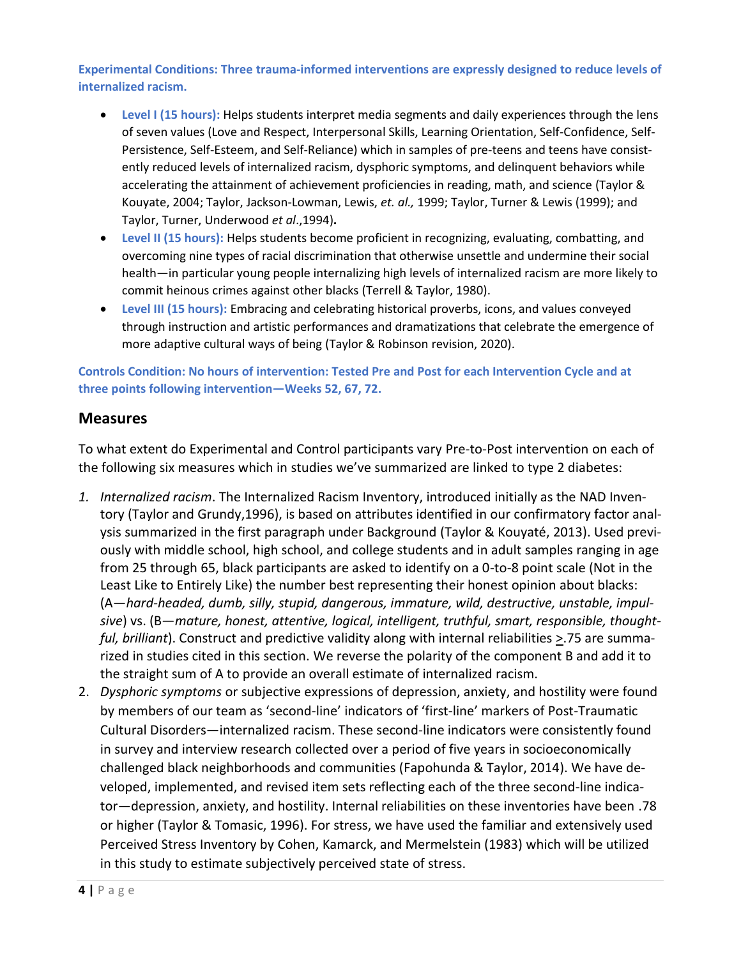**Experimental Conditions: Three trauma-informed interventions are expressly designed to reduce levels of internalized racism.** 

- **Level I (15 hours):** Helps students interpret media segments and daily experiences through the lens of seven values (Love and Respect, Interpersonal Skills, Learning Orientation, Self-Confidence, Self-Persistence, Self-Esteem, and Self-Reliance) which in samples of pre-teens and teens have consistently reduced levels of internalized racism, dysphoric symptoms, and delinquent behaviors while accelerating the attainment of achievement proficiencies in reading, math, and science (Taylor & Kouyate, 2004; Taylor, Jackson-Lowman, Lewis, *et. al.,* 1999; Taylor, Turner & Lewis (1999); and Taylor, Turner, Underwood *et al*.,1994)**.**
- **Level II (15 hours):** Helps students become proficient in recognizing, evaluating, combatting, and overcoming nine types of racial discrimination that otherwise unsettle and undermine their social health—in particular young people internalizing high levels of internalized racism are more likely to commit heinous crimes against other blacks (Terrell & Taylor, 1980).
- **Level III (15 hours):** Embracing and celebrating historical proverbs, icons, and values conveyed through instruction and artistic performances and dramatizations that celebrate the emergence of more adaptive cultural ways of being (Taylor & Robinson revision, 2020).

**Controls Condition: No hours of intervention: Tested Pre and Post for each Intervention Cycle and at three points following intervention—Weeks 52, 67, 72.**

#### **Measures**

To what extent do Experimental and Control participants vary Pre-to-Post intervention on each of the following six measures which in studies we've summarized are linked to type 2 diabetes:

- *1. Internalized racism*. The Internalized Racism Inventory, introduced initially as the NAD Inventory (Taylor and Grundy,1996), is based on attributes identified in our confirmatory factor analysis summarized in the first paragraph under Background (Taylor & Kouyaté, 2013). Used previously with middle school, high school, and college students and in adult samples ranging in age from 25 through 65, black participants are asked to identify on a 0-to-8 point scale (Not in the Least Like to Entirely Like) the number best representing their honest opinion about blacks: (A—*hard-headed, dumb, silly, stupid, dangerous, immature, wild, destructive, unstable, impulsive*) vs. (B—*mature, honest, attentive, logical, intelligent, truthful, smart, responsible, thoughtful, brilliant*). Construct and predictive validity along with internal reliabilities  $\ge$ .75 are summarized in studies cited in this section. We reverse the polarity of the component B and add it to the straight sum of A to provide an overall estimate of internalized racism.
- 2. *Dysphoric symptoms* or subjective expressions of depression, anxiety, and hostility were found by members of our team as 'second-line' indicators of 'first-line' markers of Post-Traumatic Cultural Disorders—internalized racism. These second-line indicators were consistently found in survey and interview research collected over a period of five years in socioeconomically challenged black neighborhoods and communities (Fapohunda & Taylor, 2014). We have developed, implemented, and revised item sets reflecting each of the three second-line indicator—depression, anxiety, and hostility. Internal reliabilities on these inventories have been .78 or higher (Taylor & Tomasic, 1996). For stress, we have used the familiar and extensively used Perceived Stress Inventory by Cohen, Kamarck, and Mermelstein (1983) which will be utilized in this study to estimate subjectively perceived state of stress.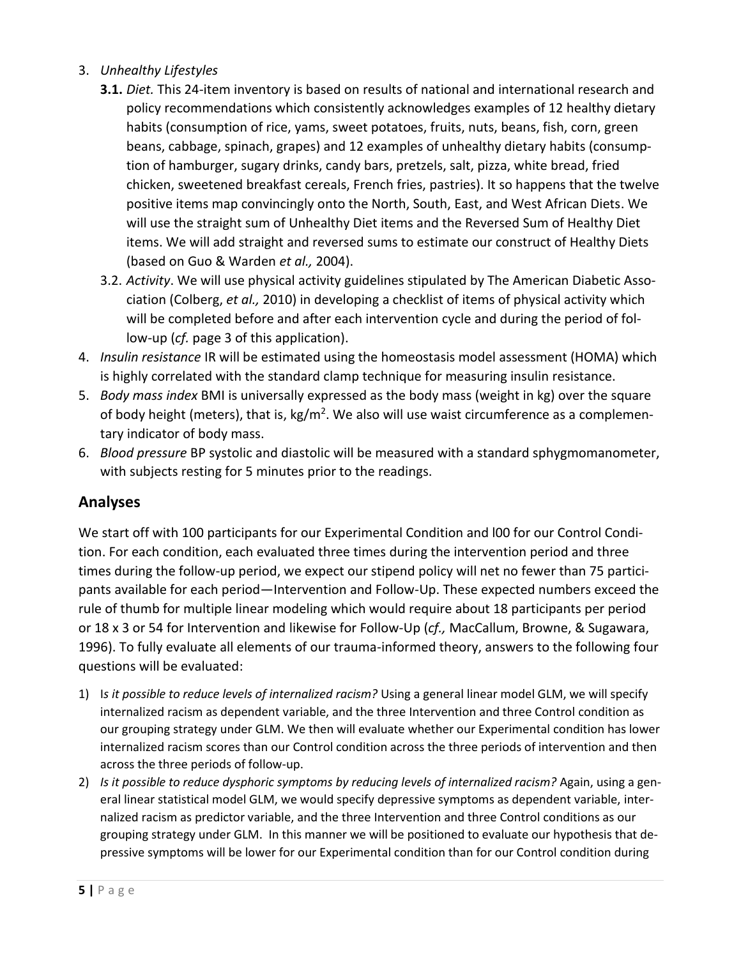- 3. *Unhealthy Lifestyles*
	- **3.1.** *Diet.* This 24-item inventory is based on results of national and international research and policy recommendations which consistently acknowledges examples of 12 healthy dietary habits (consumption of rice, yams, sweet potatoes, fruits, nuts, beans, fish, corn, green beans, cabbage, spinach, grapes) and 12 examples of unhealthy dietary habits (consumption of hamburger, sugary drinks, candy bars, pretzels, salt, pizza, white bread, fried chicken, sweetened breakfast cereals, French fries, pastries). It so happens that the twelve positive items map convincingly onto the North, South, East, and West African Diets. We will use the straight sum of Unhealthy Diet items and the Reversed Sum of Healthy Diet items. We will add straight and reversed sums to estimate our construct of Healthy Diets (based on Guo & Warden *et al.,* 2004).
	- 3.2. *Activity*. We will use physical activity guidelines stipulated by The American Diabetic Association (Colberg, *et al.,* 2010) in developing a checklist of items of physical activity which will be completed before and after each intervention cycle and during the period of follow-up (*cf.* page 3 of this application).
- 4. *Insulin resistance* IR will be estimated using the homeostasis model assessment (HOMA) which is highly correlated with the standard clamp technique for measuring insulin resistance.
- 5. *Body mass index* BMI is universally expressed as the body mass (weight in kg) over the square of body height (meters), that is, kg/m<sup>2</sup>. We also will use waist circumference as a complementary indicator of body mass.
- 6. *Blood pressure* BP systolic and diastolic will be measured with a standard sphygmomanometer, with subjects resting for 5 minutes prior to the readings.

### **Analyses**

We start off with 100 participants for our Experimental Condition and l00 for our Control Condition. For each condition, each evaluated three times during the intervention period and three times during the follow-up period, we expect our stipend policy will net no fewer than 75 participants available for each period—Intervention and Follow-Up. These expected numbers exceed the rule of thumb for multiple linear modeling which would require about 18 participants per period or 18 x 3 or 54 for Intervention and likewise for Follow-Up (*cf.,* MacCallum, Browne, & Sugawara, 1996). To fully evaluate all elements of our trauma-informed theory, answers to the following four questions will be evaluated:

- 1) I*s it possible to reduce levels of internalized racism?* Using a general linear model GLM, we will specify internalized racism as dependent variable, and the three Intervention and three Control condition as our grouping strategy under GLM. We then will evaluate whether our Experimental condition has lower internalized racism scores than our Control condition across the three periods of intervention and then across the three periods of follow-up.
- 2) *Is it possible to reduce dysphoric symptoms by reducing levels of internalized racism?* Again, using a general linear statistical model GLM, we would specify depressive symptoms as dependent variable, internalized racism as predictor variable, and the three Intervention and three Control conditions as our grouping strategy under GLM. In this manner we will be positioned to evaluate our hypothesis that depressive symptoms will be lower for our Experimental condition than for our Control condition during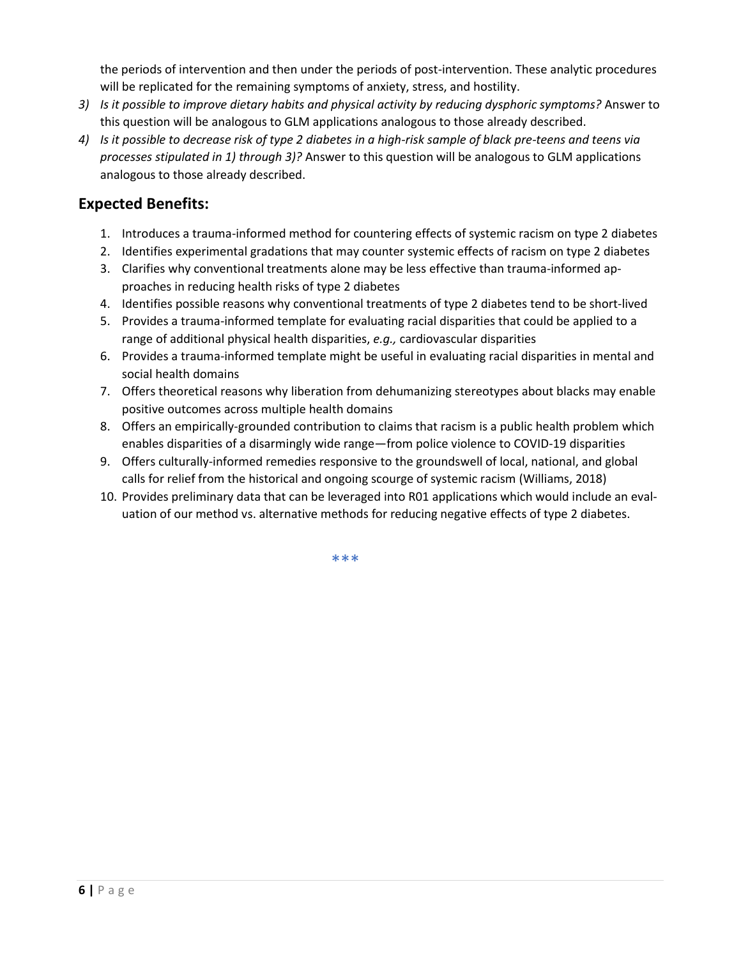the periods of intervention and then under the periods of post-intervention. These analytic procedures will be replicated for the remaining symptoms of anxiety, stress, and hostility.

- *3) Is it possible to improve dietary habits and physical activity by reducing dysphoric symptoms?* Answer to this question will be analogous to GLM applications analogous to those already described.
- *4) Is it possible to decrease risk of type 2 diabetes in a high-risk sample of black pre-teens and teens via processes stipulated in 1) through 3)?* Answer to this question will be analogous to GLM applications analogous to those already described.

### **Expected Benefits:**

- 1. Introduces a trauma-informed method for countering effects of systemic racism on type 2 diabetes
- 2. Identifies experimental gradations that may counter systemic effects of racism on type 2 diabetes
- 3. Clarifies why conventional treatments alone may be less effective than trauma-informed approaches in reducing health risks of type 2 diabetes
- 4. Identifies possible reasons why conventional treatments of type 2 diabetes tend to be short-lived
- 5. Provides a trauma-informed template for evaluating racial disparities that could be applied to a range of additional physical health disparities, *e.g.,* cardiovascular disparities
- 6. Provides a trauma-informed template might be useful in evaluating racial disparities in mental and social health domains
- 7. Offers theoretical reasons why liberation from dehumanizing stereotypes about blacks may enable positive outcomes across multiple health domains
- 8. Offers an empirically-grounded contribution to claims that racism is a public health problem which enables disparities of a disarmingly wide range—from police violence to COVID-19 disparities
- 9. Offers culturally-informed remedies responsive to the groundswell of local, national, and global calls for relief from the historical and ongoing scourge of systemic racism (Williams, 2018)
- 10. Provides preliminary data that can be leveraged into R01 applications which would include an evaluation of our method vs. alternative methods for reducing negative effects of type 2 diabetes.

\*\*\*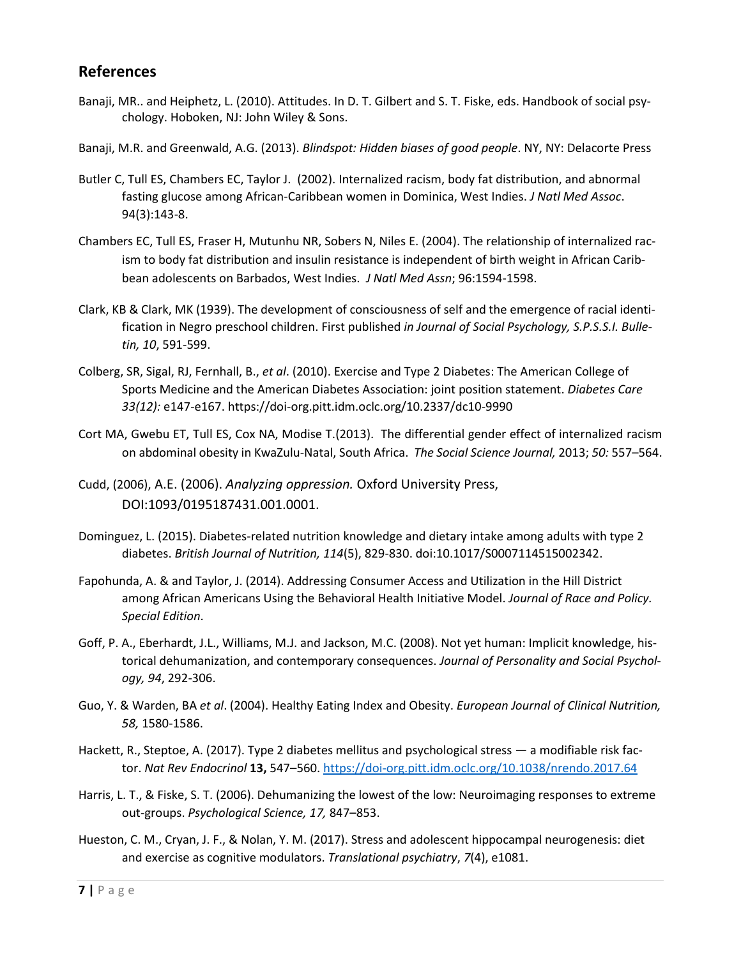#### **References**

- Banaji, MR.. and Heiphetz, L. (2010). Attitudes. In D. T. Gilbert and S. T. Fiske, eds. Handbook of social psychology. Hoboken, NJ: John Wiley & Sons.
- Banaji, M.R. and Greenwald, A.G. (2013). *Blindspot: Hidden biases of good people*. NY, NY: Delacorte Press
- Butler C, Tull ES, Chambers EC, Taylor J. (2002). Internalized racism, body fat distribution, and abnormal fasting glucose among African-Caribbean women in Dominica, West Indies. *J Natl Med Assoc*. 94(3):143-8.
- Chambers EC, Tull ES, Fraser H, Mutunhu NR, Sobers N, Niles E. (2004). The relationship of internalized racism to body fat distribution and insulin resistance is independent of birth weight in African Caribbean adolescents on Barbados, West Indies. *J Natl Med Assn*; 96:1594-1598.
- Clark, KB & Clark, MK (1939). The development of consciousness of self and the emergence of racial identification in Negro preschool children. First published *in Journal of Social Psychology, S.P.S.S.I. Bulletin, 10*, 591-599.
- Colberg, SR, Sigal, RJ, Fernhall, B., *et al*. (2010). Exercise and Type 2 Diabetes: The American College of Sports Medicine and the American Diabetes Association: joint position statement. *Diabetes Care 33(12):* e147-e167. https://doi-org.pitt.idm.oclc.org/10.2337/dc10-9990
- Cort MA, Gwebu ET, Tull ES, Cox NA, Modise T.(2013). The differential gender effect of internalized racism on abdominal obesity in KwaZulu-Natal, South Africa. *The Social Science Journal,* 2013; *50:* 557–564.
- Cudd, (2006), A.E. (2006). *Analyzing oppression.* Oxford University Press, DOI:1093/0195187431.001.0001.
- Dominguez, L. (2015). Diabetes-related nutrition knowledge and dietary intake among adults with type 2 diabetes. *British Journal of Nutrition, 114*(5), 829-830. doi:10.1017/S0007114515002342.
- Fapohunda, A. & and Taylor, J. (2014). Addressing Consumer Access and Utilization in the Hill District among African Americans Using the Behavioral Health Initiative Model. *Journal of Race and Policy. Special Edition*.
- Goff, P. A., Eberhardt, J.L., Williams, M.J. and Jackson, M.C. (2008). Not yet human: Implicit knowledge, historical dehumanization, and contemporary consequences. *Journal of Personality and Social Psychology, 94*, 292-306.
- Guo, Y. & Warden, BA *et al*. (2004). Healthy Eating Index and Obesity. *European Journal of Clinical Nutrition, 58,* 1580-1586.
- Hackett, R., Steptoe, A. (2017). Type 2 diabetes mellitus and psychological stress a modifiable risk factor. *Nat Rev Endocrinol* **13,** 547–560.<https://doi-org.pitt.idm.oclc.org/10.1038/nrendo.2017.64>
- Harris, L. T., & Fiske, S. T. (2006). Dehumanizing the lowest of the low: Neuroimaging responses to extreme out-groups. *Psychological Science, 17,* 847–853.
- Hueston, C. M., Cryan, J. F., & Nolan, Y. M. (2017). Stress and adolescent hippocampal neurogenesis: diet and exercise as cognitive modulators. *Translational psychiatry*, *7*(4), e1081.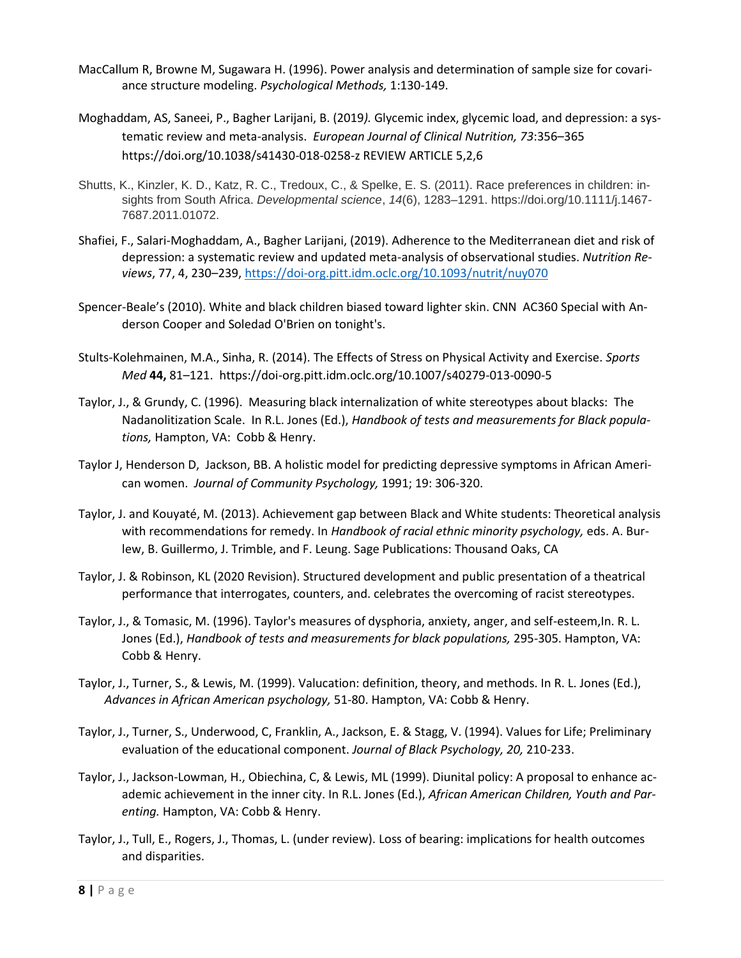- MacCallum R, Browne M, Sugawara H. (1996). Power analysis and determination of sample size for covariance structure modeling. *Psychological Methods,* 1:130-149.
- Moghaddam, AS, Saneei, P., Bagher Larijani, B. (2019*).* Glycemic index, glycemic load, and depression: a systematic review and meta-analysis. *European Journal of Clinical Nutrition, 73*:356–365 https://doi.org/10.1038/s41430-018-0258-z REVIEW ARTICLE 5,2,6
- Shutts, K., Kinzler, K. D., Katz, R. C., Tredoux, C., & Spelke, E. S. (2011). Race preferences in children: insights from South Africa. *Developmental science*, *14*(6), 1283–1291. https://doi.org/10.1111/j.1467- 7687.2011.01072.
- Shafiei, F., Salari-Moghaddam, A., Bagher Larijani, (2019). Adherence to the Mediterranean diet and risk of depression: a systematic review and updated meta-analysis of observational studies. *Nutrition Reviews*, 77, 4, 230–239,<https://doi-org.pitt.idm.oclc.org/10.1093/nutrit/nuy070>
- Spencer-Beale's (2010). White and black children biased toward lighter skin. CNN AC360 Special with Anderson Cooper and Soledad O'Brien on tonight's.
- Stults-Kolehmainen, M.A., Sinha, R. (2014). The Effects of Stress on Physical Activity and Exercise. *Sports Med* **44,** 81–121. https://doi-org.pitt.idm.oclc.org/10.1007/s40279-013-0090-5
- Taylor, J., & Grundy, C. (1996). Measuring black internalization of white stereotypes about blacks: The Nadanolitization Scale. In R.L. Jones (Ed.), *Handbook of tests and measurements for Black populations,* Hampton, VA: Cobb & Henry.
- Taylor J, Henderson D, Jackson, BB. A holistic model for predicting depressive symptoms in African American women. *Journal of Community Psychology,* 1991; 19: 306-320.
- Taylor, J. and Kouyaté, M. (2013). Achievement gap between Black and White students: Theoretical analysis with recommendations for remedy. In *Handbook of racial ethnic minority psychology,* eds. A. Burlew, B. Guillermo, J. Trimble, and F. Leung. Sage Publications: Thousand Oaks, CA
- Taylor, J. & Robinson, KL (2020 Revision). Structured development and public presentation of a theatrical performance that interrogates, counters, and. celebrates the overcoming of racist stereotypes.
- Taylor, J., & Tomasic, M. (1996). Taylor's measures of dysphoria, anxiety, anger, and self-esteem,In. R. L. Jones (Ed.), *Handbook of tests and measurements for black populations,* 295-305. Hampton, VA: Cobb & Henry.
- Taylor, J., Turner, S., & Lewis, M. (1999). Valucation: definition, theory, and methods. In R. L. Jones (Ed.), *Advances in African American psychology,* 51-80. Hampton, VA: Cobb & Henry.
- Taylor, J., Turner, S., Underwood, C, Franklin, A., Jackson, E. & Stagg, V. (1994). Values for Life; Preliminary evaluation of the educational component. *Journal of Black Psychology, 20,* 210-233.
- Taylor, J., Jackson-Lowman, H., Obiechina, C, & Lewis, ML (1999). Diunital policy: A proposal to enhance academic achievement in the inner city. In R.L. Jones (Ed.), *African American Children, Youth and Parenting.* Hampton, VA: Cobb & Henry.
- Taylor, J., Tull, E., Rogers, J., Thomas, L. (under review). Loss of bearing: implications for health outcomes and disparities.